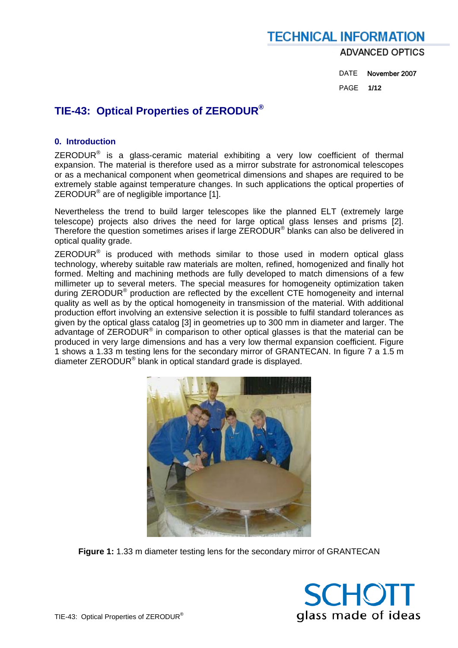### **TECHNICAL INFORMATION ADVANCED OPTICS**

 DATE November 2007 PAGE **1/12** 

### **TIE-43: Optical Properties of ZERODUR®**

### **0. Introduction**

ZERODUR® is a glass-ceramic material exhibiting a very low coefficient of thermal expansion. The material is therefore used as a mirror substrate for astronomical telescopes or as a mechanical component when geometrical dimensions and shapes are required to be extremely stable against temperature changes. In such applications the optical properties of ZERODUR<sup>®</sup> are of negligible importance [1].

Nevertheless the trend to build larger telescopes like the planned ELT (extremely large telescope) projects also drives the need for large optical glass lenses and prisms [2]. Therefore the question sometimes arises if large ZERODUR® blanks can also be delivered in optical quality grade.

 $ZERODUR<sup>®</sup>$  is produced with methods similar to those used in modern optical glass technology, whereby suitable raw materials are molten, refined, homogenized and finally hot formed. Melting and machining methods are fully developed to match dimensions of a few millimeter up to several meters. The special measures for homogeneity optimization taken during ZERODUR® production are reflected by the excellent CTE homogeneity and internal quality as well as by the optical homogeneity in transmission of the material. With additional production effort involving an extensive selection it is possible to fulfil standard tolerances as given by the optical glass catalog [3] in geometries up to 300 mm in diameter and larger. The advantage of ZERODUR® in comparison to other optical glasses is that the material can be produced in very large dimensions and has a very low thermal expansion coefficient. Figure 1 shows a 1.33 m testing lens for the secondary mirror of GRANTECAN. In figure 7 a 1.5 m diameter ZERODUR® blank in optical standard grade is displayed.



**Figure 1:** 1.33 m diameter testing lens for the secondary mirror of GRANTECAN

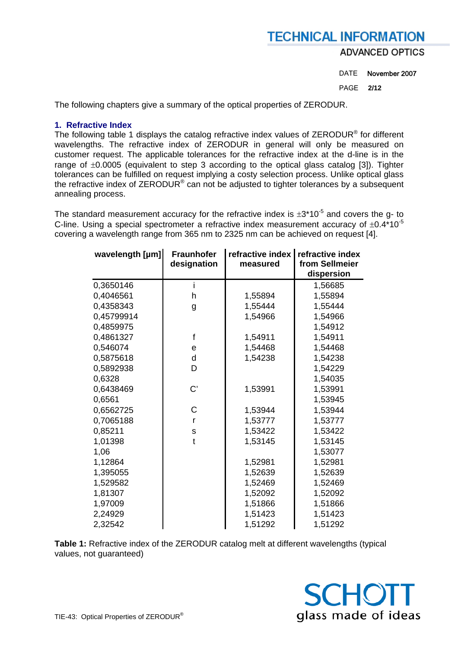**ADVANCED OPTICS** 

DATE November 2007

PAGE **2/12** 

The following chapters give a summary of the optical properties of ZERODUR.

### **1. Refractive Index**

The following table 1 displays the catalog refractive index values of ZERODUR<sup>®</sup> for different wavelengths. The refractive index of ZERODUR in general will only be measured on customer request. The applicable tolerances for the refractive index at the d-line is in the range of  $\pm 0.0005$  (equivalent to step 3 according to the optical glass catalog [3]). Tighter tolerances can be fulfilled on request implying a costy selection process. Unlike optical glass the refractive index of ZERODUR<sup>®</sup> can not be adjusted to tighter tolerances by a subsequent annealing process.

The standard measurement accuracy for the refractive index is  $\pm 3*10^{-5}$  and covers the g- to C-line. Using a special spectrometer a refractive index measurement accuracy of  $\pm 0.4*10^{-5}$ covering a wavelength range from 365 nm to 2325 nm can be achieved on request [4].

| wavelength [µm] | <b>Fraunhofer</b><br>designation | refractive index<br>measured | refractive index<br>from Sellmeier<br>dispersion |
|-----------------|----------------------------------|------------------------------|--------------------------------------------------|
| 0,3650146       | i                                |                              | 1,56685                                          |
| 0,4046561       | h                                | 1,55894                      | 1,55894                                          |
| 0,4358343       | g                                | 1,55444                      | 1,55444                                          |
| 0,45799914      |                                  | 1,54966                      | 1,54966                                          |
| 0,4859975       |                                  |                              | 1,54912                                          |
| 0,4861327       | f                                | 1,54911                      | 1,54911                                          |
| 0,546074        | e                                | 1,54468                      | 1,54468                                          |
| 0,5875618       | d                                | 1,54238                      | 1,54238                                          |
| 0,5892938       | D                                |                              | 1,54229                                          |
| 0,6328          |                                  |                              | 1,54035                                          |
| 0,6438469       | $\mathsf{C}'$                    | 1,53991                      | 1,53991                                          |
| 0,6561          |                                  |                              | 1,53945                                          |
| 0,6562725       | C                                | 1,53944                      | 1,53944                                          |
| 0,7065188       | r                                | 1,53777                      | 1,53777                                          |
| 0,85211         | S                                | 1,53422                      | 1,53422                                          |
| 1,01398         | t                                | 1,53145                      | 1,53145                                          |
| 1,06            |                                  |                              | 1,53077                                          |
| 1,12864         |                                  | 1,52981                      | 1,52981                                          |
| 1,395055        |                                  | 1,52639                      | 1,52639                                          |
| 1,529582        |                                  | 1,52469                      | 1,52469                                          |
| 1,81307         |                                  | 1,52092                      | 1,52092                                          |
| 1,97009         |                                  | 1,51866                      | 1,51866                                          |
| 2,24929         |                                  | 1,51423                      | 1,51423                                          |
| 2,32542         |                                  | 1,51292                      | 1,51292                                          |

**Table 1:** Refractive index of the ZERODUR catalog melt at different wavelengths (typical values, not guaranteed)

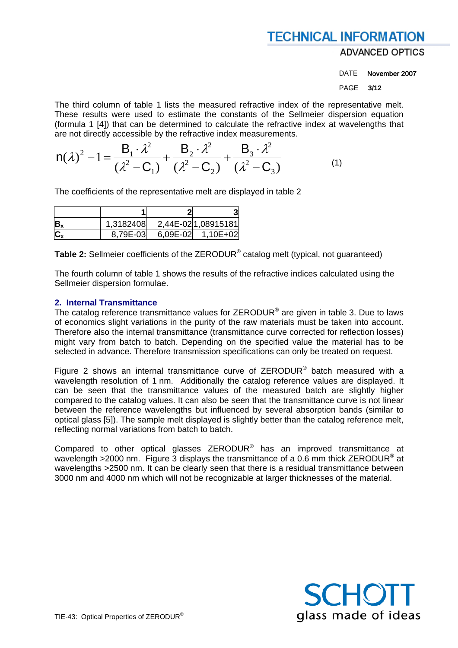**ADVANCED OPTICS** 

DATE November 2007

PAGE **3/12** 

The third column of table 1 lists the measured refractive index of the representative melt. These results were used to estimate the constants of the Sellmeier dispersion equation (formula 1 [4]) that can be determined to calculate the refractive index at wavelengths that are not directly accessible by the refractive index measurements.

$$
n(\lambda)^2 - 1 = \frac{B_1 \cdot \lambda^2}{(\lambda^2 - C_1)} + \frac{B_2 \cdot \lambda^2}{(\lambda^2 - C_2)} + \frac{B_3 \cdot \lambda^2}{(\lambda^2 - C_3)}
$$
(1)

The coefficients of the representative melt are displayed in table 2

| $B_{\lambda}$ | 1,3182408 |          | 2,44E-021,08915181 |
|---------------|-----------|----------|--------------------|
|               | 8,79E-03  | 6,09E-02 | 1,10E+02           |

**Table 2:** Sellmeier coefficients of the ZERODUR® catalog melt (typical, not guaranteed)

The fourth column of table 1 shows the results of the refractive indices calculated using the Sellmeier dispersion formulae.

### **2. Internal Transmittance**

The catalog reference transmittance values for ZERODUR<sup>®</sup> are given in table 3. Due to laws of economics slight variations in the purity of the raw materials must be taken into account. Therefore also the internal transmittance (transmittance curve corrected for reflection losses) might vary from batch to batch. Depending on the specified value the material has to be selected in advance. Therefore transmission specifications can only be treated on request.

Figure 2 shows an internal transmittance curve of ZERODUR® batch measured with a wavelength resolution of 1 nm. Additionally the catalog reference values are displayed. It can be seen that the transmittance values of the measured batch are slightly higher compared to the catalog values. It can also be seen that the transmittance curve is not linear between the reference wavelengths but influenced by several absorption bands (similar to optical glass [5]). The sample melt displayed is slightly better than the catalog reference melt, reflecting normal variations from batch to batch.

Compared to other optical glasses ZERODUR® has an improved transmittance at wavelength  $>$ 2000 nm. Figure 3 displays the transmittance of a 0.6 mm thick ZERODUR<sup>®</sup> at wavelengths >2500 nm. It can be clearly seen that there is a residual transmittance between 3000 nm and 4000 nm which will not be recognizable at larger thicknesses of the material.

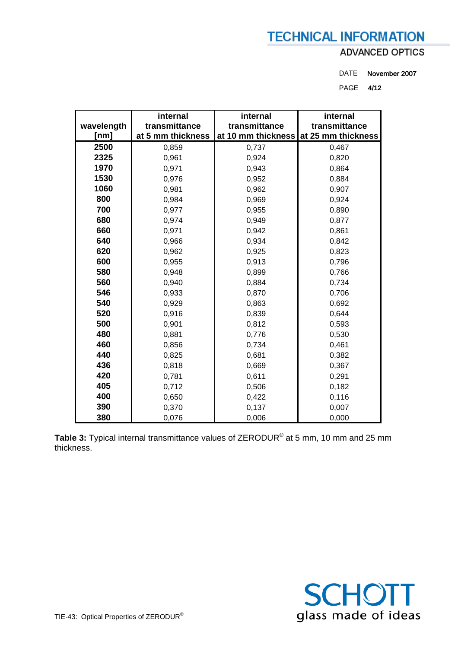### **ADVANCED OPTICS**

DATE November 2007

PAGE **4/12** 

| wavelength | internal<br>transmittance | internal<br>transmittance | internal<br>transmittance |  |  |
|------------|---------------------------|---------------------------|---------------------------|--|--|
| [nm]       | at 5 mm thickness         | at 10 mm thickness        | at 25 mm thickness        |  |  |
| 2500       | 0,859                     | 0,737                     | 0,467                     |  |  |
| 2325       | 0,961                     | 0,924                     | 0,820                     |  |  |
| 1970       | 0,971                     | 0,943                     | 0,864                     |  |  |
| 1530       | 0,976                     | 0,952                     | 0,884                     |  |  |
| 1060       | 0,981                     | 0,962                     | 0,907                     |  |  |
| 800        | 0,984                     | 0,969                     | 0,924                     |  |  |
| 700        | 0,977                     | 0,955                     | 0,890                     |  |  |
| 680        | 0,974                     | 0,949                     | 0,877                     |  |  |
| 660        | 0,971                     | 0,942                     | 0,861                     |  |  |
| 640        | 0,966                     | 0,934                     | 0,842                     |  |  |
| 620        | 0,962                     | 0,925                     | 0,823                     |  |  |
| 600        | 0,955                     | 0,913                     | 0,796                     |  |  |
| 580        | 0,948                     | 0,899                     | 0,766                     |  |  |
| 560        | 0,940                     | 0,884                     | 0,734                     |  |  |
| 546        | 0,933                     | 0,870                     | 0,706                     |  |  |
| 540        | 0,929                     | 0,863                     | 0,692                     |  |  |
| 520        | 0,916                     | 0,839                     | 0,644                     |  |  |
| 500        | 0,901                     | 0,812                     | 0,593                     |  |  |
| 480        | 0,881                     | 0,776                     | 0,530                     |  |  |
| 460        | 0,856                     | 0,734                     | 0,461                     |  |  |
| 440        | 0,825                     | 0,681                     | 0,382                     |  |  |
| 436        | 0,818                     | 0,669                     | 0,367                     |  |  |
| 420        | 0,781                     | 0,611                     | 0,291                     |  |  |
| 405        | 0,712                     | 0,506                     | 0,182                     |  |  |
| 400        | 0,650                     | 0,422                     | 0,116                     |  |  |
| 390        | 0,370                     | 0,137                     | 0,007                     |  |  |
| 380        | 0,076                     | 0,006                     | 0,000                     |  |  |

**Table 3:** Typical internal transmittance values of ZERODUR® at 5 mm, 10 mm and 25 mm thickness.

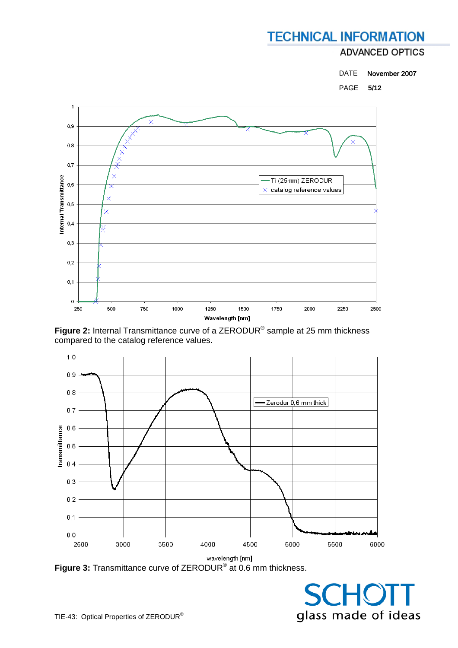### **ADVANCED OPTICS**



PAGE **5/12** 



**Figure 2:** Internal Transmittance curve of a ZERODUR® sample at 25 mm thickness compared to the catalog reference values.



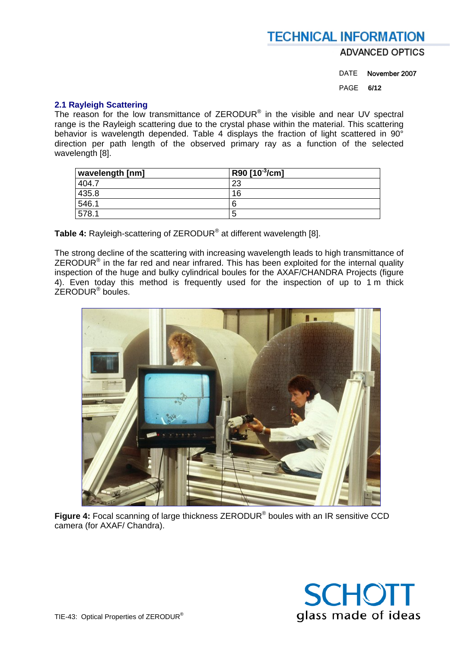**ADVANCED OPTICS** 

DATE November 2007

PAGE **6/12** 

#### **2.1 Rayleigh Scattering**

The reason for the low transmittance of ZERODUR<sup>®</sup> in the visible and near UV spectral range is the Rayleigh scattering due to the crystal phase within the material. This scattering behavior is wavelength depended. Table 4 displays the fraction of light scattered in 90° direction per path length of the observed primary ray as a function of the selected wavelength [8].

| wavelength [nm] | R90 [10 <sup>-3</sup> /cm] |
|-----------------|----------------------------|
| 404.7           | 23                         |
| 435.8           | 16                         |
| 546.1           |                            |
| 578.1           | C                          |

**Table 4:** Rayleigh-scattering of ZERODUR® at different wavelength [8].

The strong decline of the scattering with increasing wavelength leads to high transmittance of  $ZERODUR<sup>®</sup>$  in the far red and near infrared. This has been exploited for the internal quality inspection of the huge and bulky cylindrical boules for the AXAF/CHANDRA Projects (figure 4). Even today this method is frequently used for the inspection of up to 1 m thick  $ZF$ RODUR<sup>®</sup> boules.



**Figure 4:** Focal scanning of large thickness ZERODUR® boules with an IR sensitive CCD camera (for AXAF/ Chandra).

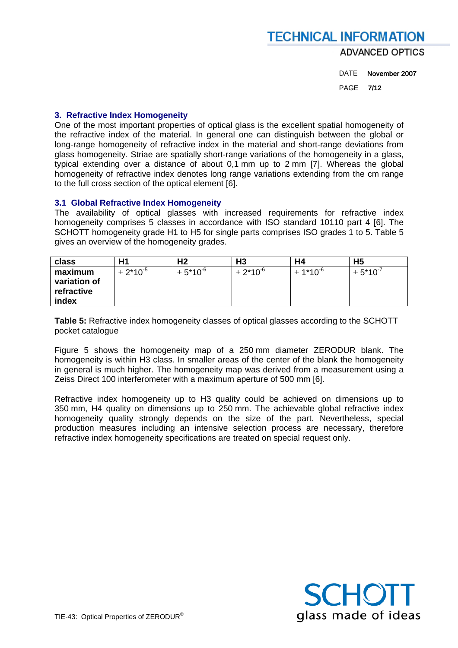### **TECHNICAL INFORMATION ADVANCED OPTICS**

DATE November 2007

PAGE **7/12** 

### **3. Refractive Index Homogeneity**

One of the most important properties of optical glass is the excellent spatial homogeneity of the refractive index of the material. In general one can distinguish between the global or long-range homogeneity of refractive index in the material and short-range deviations from glass homogeneity. Striae are spatially short-range variations of the homogeneity in a glass, typical extending over a distance of about 0,1 mm up to 2 mm [7]. Whereas the global homogeneity of refractive index denotes long range variations extending from the cm range to the full cross section of the optical element [6].

#### **3.1 Global Refractive Index Homogeneity**

The availability of optical glasses with increased requirements for refractive index homogeneity comprises 5 classes in accordance with ISO standard 10110 part 4 [6]. The SCHOTT homogeneity grade H1 to H5 for single parts comprises ISO grades 1 to 5. Table 5 gives an overview of the homogeneity grades.

| class                                          | Η1              | Η2                       | H <sub>3</sub>  | H4                       | H5              |
|------------------------------------------------|-----------------|--------------------------|-----------------|--------------------------|-----------------|
| maximum<br>variation of<br>refractive<br>index | $\pm 2*10^{-5}$ | $\pm$ 5*10 <sup>-6</sup> | $\pm 2*10^{-6}$ | $\pm$ 1*10 <sup>-6</sup> | $\pm 5*10^{-7}$ |

**Table 5:** Refractive index homogeneity classes of optical glasses according to the SCHOTT pocket catalogue

Figure 5 shows the homogeneity map of a 250 mm diameter ZERODUR blank. The homogeneity is within H3 class. In smaller areas of the center of the blank the homogeneity in general is much higher. The homogeneity map was derived from a measurement using a Zeiss Direct 100 interferometer with a maximum aperture of 500 mm [6].

Refractive index homogeneity up to H3 quality could be achieved on dimensions up to 350 mm, H4 quality on dimensions up to 250 mm. The achievable global refractive index homogeneity quality strongly depends on the size of the part. Nevertheless, special production measures including an intensive selection process are necessary, therefore refractive index homogeneity specifications are treated on special request only.

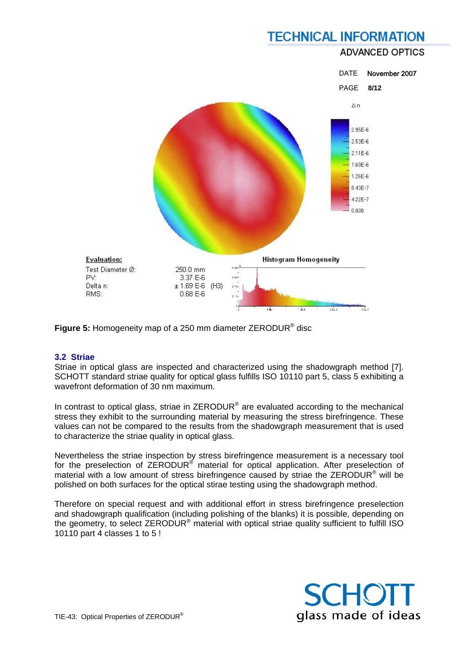### **ADVANCED OPTICS**



**Figure 5:** Homogeneity map of a 250 mm diameter ZERODUR® disc

### **3.2 Striae**

Striae in optical glass are inspected and characterized using the shadowgraph method [7]. SCHOTT standard striae quality for optical glass fulfills ISO 10110 part 5, class 5 exhibiting a wavefront deformation of 30 nm maximum.

In contrast to optical glass, striae in  $ZERODUR<sup>®</sup>$  are evaluated according to the mechanical stress they exhibit to the surrounding material by measuring the stress birefringence. These values can not be compared to the results from the shadowgraph measurement that is used to characterize the striae quality in optical glass.

Nevertheless the striae inspection by stress birefringence measurement is a necessary tool for the preselection of ZERODUR<sup>®</sup> material for optical application. After preselection of material with a low amount of stress birefringence caused by striae the ZERODUR® will be polished on both surfaces for the optical stirae testing using the shadowgraph method.

Therefore on special request and with additional effort in stress birefringence preselection and shadowgraph qualification (including polishing of the blanks) it is possible, depending on the geometry, to select ZERODUR<sup>®</sup> material with optical striae quality sufficient to fulfill ISO 10110 part 4 classes 1 to 5 !

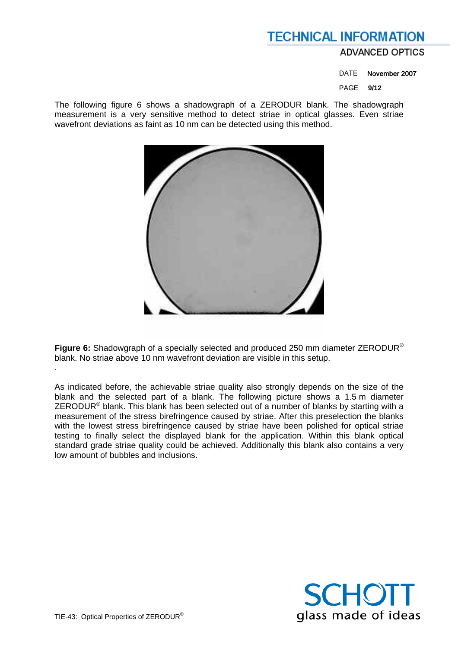### **ADVANCED OPTICS**

DATE November 2007

PAGE **9/12** 

The following figure 6 shows a shadowgraph of a ZERODUR blank. The shadowgraph measurement is a very sensitive method to detect striae in optical glasses. Even striae wavefront deviations as faint as 10 nm can be detected using this method.



**Figure 6:** Shadowgraph of a specially selected and produced 250 mm diameter ZERODUR® blank. No striae above 10 nm wavefront deviation are visible in this setup.

As indicated before, the achievable striae quality also strongly depends on the size of the blank and the selected part of a blank. The following picture shows a 1.5 m diameter ZERODUR<sup>®</sup> blank. This blank has been selected out of a number of blanks by starting with a measurement of the stress birefringence caused by striae. After this preselection the blanks with the lowest stress birefringence caused by striae have been polished for optical striae testing to finally select the displayed blank for the application. Within this blank optical standard grade striae quality could be achieved. Additionally this blank also contains a very low amount of bubbles and inclusions.



.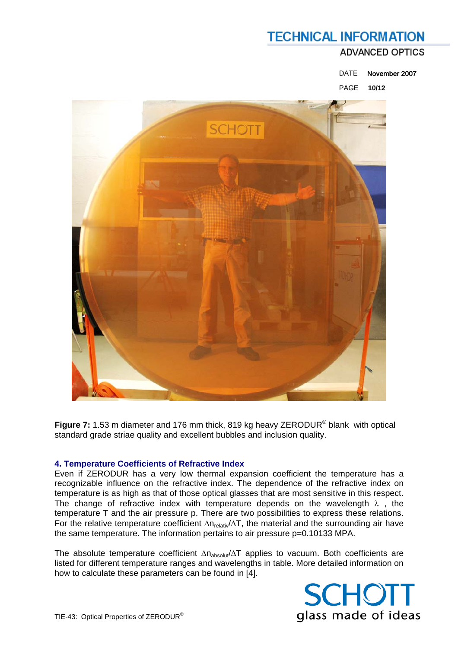### **ADVANCED OPTICS**

DATE November 2007

PAGE **10/12** 



**Figure 7:** 1.53 m diameter and 176 mm thick, 819 kg heavy ZERODUR® blank with optical standard grade striae quality and excellent bubbles and inclusion quality.

### **4. Temperature Coefficients of Refractive Index**

Even if ZERODUR has a very low thermal expansion coefficient the temperature has a recognizable influence on the refractive index. The dependence of the refractive index on temperature is as high as that of those optical glasses that are most sensitive in this respect. The change of refractive index with temperature depends on the wavelength  $\lambda$  , the temperature T and the air pressure p. There are two possibilities to express these relations. For the relative temperature coefficient ∆n<sub>relativ</sub>/∆T, the material and the surrounding air have the same temperature. The information pertains to air pressure p=0.10133 MPA.

The absolute temperature coefficient ∆n<sub>absolut</sub>/∆T applies to vacuum. Both coefficients are listed for different temperature ranges and wavelengths in table. More detailed information on how to calculate these parameters can be found in [4].

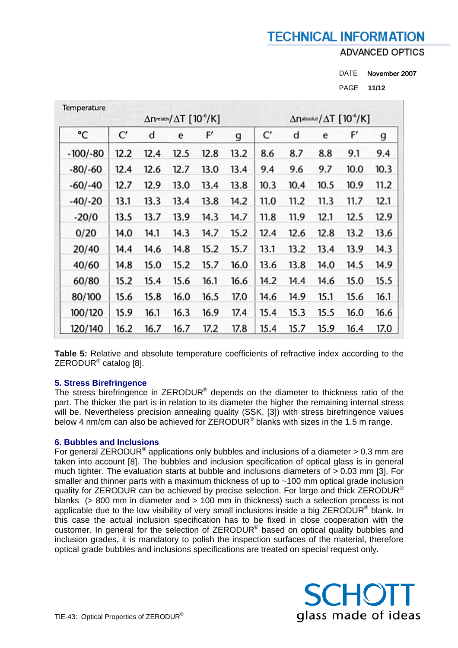**ADVANCED OPTICS** 

PAGE **11/12** 

| Temperature |      |      | $\Delta$ nrelativ $/ \Delta T$ [10 <sup>-6</sup> /K] |      |             |      |      |      | $\Delta$ nabsolut / $\Delta$ T [10 $\degree$ /K] |      |
|-------------|------|------|------------------------------------------------------|------|-------------|------|------|------|--------------------------------------------------|------|
| °C          | C'   | d    | e                                                    | F'   | $\mathbf g$ | C'   | d    | e    | F'                                               | g    |
| $-100/-80$  | 12.2 | 12.4 | 12.5                                                 | 12.8 | 13.2        | 8.6  | 8.7  | 8.8  | 9.1                                              | 9.4  |
| $-80/-60$   | 12.4 | 12.6 | 12.7                                                 | 13.0 | 13.4        | 9.4  | 9.6  | 9.7  | 10.0                                             | 10.3 |
| $-60/-40$   | 12.7 | 12.9 | 13.0                                                 | 13.4 | 13.8        | 10.3 | 10.4 | 10.5 | 10.9                                             | 11.2 |
| $-40/-20$   | 13.1 | 13.3 | 13.4                                                 | 13.8 | 14.2        | 11.0 | 11.2 | 11.3 | 11.7                                             | 12.1 |
| $-20/0$     | 13.5 | 13.7 | 13.9                                                 | 14.3 | 14.7        | 11.8 | 11.9 | 12.1 | 12.5                                             | 12.9 |
| 0/20        | 14.0 | 14.1 | 14.3                                                 | 14.7 | 15.2        | 12.4 | 12.6 | 12.8 | 13.2                                             | 13.6 |
| 20/40       | 14.4 | 14.6 | 14.8                                                 | 15.2 | 15.7        | 13.1 | 13.2 | 13.4 | 13.9                                             | 14.3 |
| 40/60       | 14.8 | 15.0 | 15.2                                                 | 15.7 | 16.0        | 13.6 | 13.8 | 14.0 | 14.5                                             | 14.9 |
| 60/80       | 15.2 | 15.4 | 15.6                                                 | 16.1 | 16.6        | 14.2 | 14.4 | 14.6 | 15.0                                             | 15.5 |
| 80/100      | 15.6 | 15.8 | 16.0                                                 | 16.5 | 17.0        | 14.6 | 14.9 | 15.1 | 15.6                                             | 16.1 |
| 100/120     | 15.9 | 16.1 | 16.3                                                 | 16.9 | 17.4        | 15.4 | 15.3 | 15.5 | 16.0                                             | 16.6 |
| 120/140     | 16.2 | 16.7 | 16.7                                                 | 17.2 | 17.8        | 15.4 | 15.7 | 15.9 | 16.4                                             | 17.0 |

**Table 5:** Relative and absolute temperature coefficients of refractive index according to the ZERODUR® catalog [8].

### **5. Stress Birefringence**

The stress birefringence in ZERODUR® depends on the diameter to thickness ratio of the part. The thicker the part is in relation to its diameter the higher the remaining internal stress will be. Nevertheless precision annealing quality (SSK, [3]) with stress birefringence values below 4 nm/cm can also be achieved for  $\overline{\text{ZERODUR}}^{\textcirc}$  blanks with sizes in the 1.5 m range.

### **6. Bubbles and Inclusions**

For general ZERODUR<sup>®</sup> applications only bubbles and inclusions of a diameter  $> 0.3$  mm are taken into account [8]. The bubbles and inclusion specification of optical glass is in general much tighter. The evaluation starts at bubble and inclusions diameters of > 0.03 mm [3]. For smaller and thinner parts with a maximum thickness of up to ~100 mm optical grade inclusion quality for ZERODUR can be achieved by precise selection. For large and thick ZERODUR<sup>®</sup> blanks (> 800 mm in diameter and > 100 mm in thickness) such a selection process is not applicable due to the low visibility of very small inclusions inside a big ZERODUR® blank. In this case the actual inclusion specification has to be fixed in close cooperation with the customer. In general for the selection of ZERODUR® based on optical quality bubbles and inclusion grades, it is mandatory to polish the inspection surfaces of the material, therefore optical grade bubbles and inclusions specifications are treated on special request only.



DATE November 2007